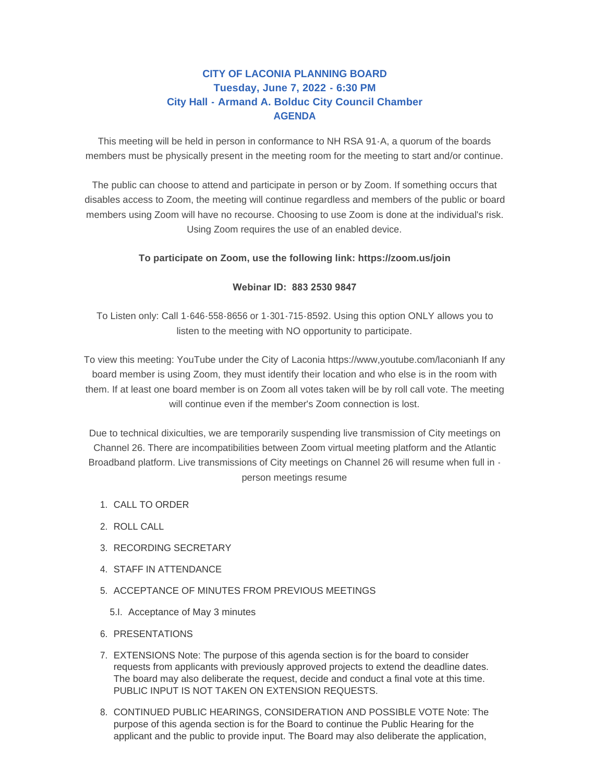# **CITY OF LACONIA PLANNING BOARD Tuesday, June 7, 2022 - 6:30 PM City Hall - Armand A. Bolduc City Council Chamber AGENDA**

This meeting will be held in person in conformance to NH RSA 91-A, a quorum of the boards members must be physically present in the meeting room for the meeting to start and/or continue.

The public can choose to attend and participate in person or by Zoom. If something occurs that disables access to Zoom, the meeting will continue regardless and members of the public or board members using Zoom will have no recourse. Choosing to use Zoom is done at the individual's risk. Using Zoom requires the use of an enabled device.

## **To participate on Zoom, use the following link: https://zoom.us/join**

### **Webinar ID: 883 2530 9847**

To Listen only: Call 1-646-558-8656 or 1-301-715-8592. Using this option ONLY allows you to listen to the meeting with NO opportunity to participate.

To view this meeting: YouTube under the City of Laconia https://www,youtube.com/laconianh If any board member is using Zoom, they must identify their location and who else is in the room with them. If at least one board member is on Zoom all votes taken will be by roll call vote. The meeting will continue even if the member's Zoom connection is lost.

Due to technical dixiculties, we are temporarily suspending live transmission of City meetings on Channel 26. There are incompatibilities between Zoom virtual meeting platform and the Atlantic Broadband platform. Live transmissions of City meetings on Channel 26 will resume when full in person meetings resume

- 1. CALL TO ORDER
- 2. ROLL CALL
- 3. RECORDING SECRETARY
- 4. STAFF IN ATTENDANCE
- 5. ACCEPTANCE OF MINUTES FROM PREVIOUS MEETINGS
	- 5.I. Acceptance of May 3 minutes
- 6. PRESENTATIONS
- EXTENSIONS Note: The purpose of this agenda section is for the board to consider 7. requests from applicants with previously approved projects to extend the deadline dates. The board may also deliberate the request, decide and conduct a final vote at this time. PUBLIC INPUT IS NOT TAKEN ON EXTENSION REQUESTS.
- 8. CONTINUED PUBLIC HEARINGS, CONSIDERATION AND POSSIBLE VOTE Note: The purpose of this agenda section is for the Board to continue the Public Hearing for the applicant and the public to provide input. The Board may also deliberate the application,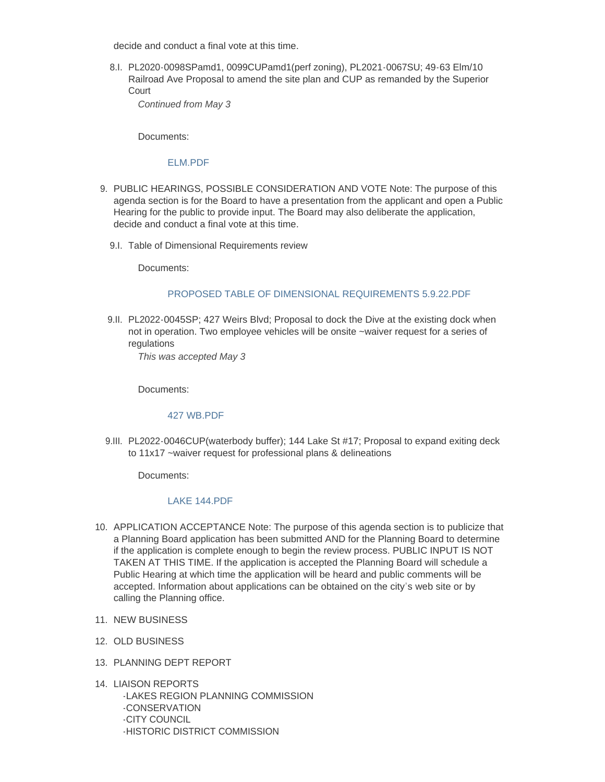decide and conduct a final vote at this time.

PL2020-0098SPamd1, 0099CUPamd1(perf zoning), PL2021-0067SU; 49-63 Elm/10 8.I. Railroad Ave Proposal to amend the site plan and CUP as remanded by the Superior **Court** 

*Continued from May 3*

Documents:

### [ELM.PDF](https://www.laconianh.gov/AgendaCenter/ViewFile/Item/20980?fileID=43579)

- 9. PUBLIC HEARINGS, POSSIBLE CONSIDERATION AND VOTE Note: The purpose of this agenda section is for the Board to have a presentation from the applicant and open a Public Hearing for the public to provide input. The Board may also deliberate the application, decide and conduct a final vote at this time.
	- 9.I. Table of Dimensional Requirements review

Documents:

### [PROPOSED TABLE OF DIMENSIONAL REQUIREMENTS 5.9.22.PDF](https://www.laconianh.gov/AgendaCenter/ViewFile/Item/20981?fileID=43573)

9.II. PL2022-0045SP; 427 Weirs Blvd; Proposal to dock the Dive at the existing dock when not in operation. Two employee vehicles will be onsite ~waiver request for a series of regulations

*This was accepted May 3*

Documents:

#### [427 WB.PDF](https://www.laconianh.gov/AgendaCenter/ViewFile/Item/20317?fileID=43582)

9.III. PL2022-0046CUP(waterbody buffer); 144 Lake St #17; Proposal to expand exiting deck to 11x17 ~waiver request for professional plans & delineations

Documents:

### [LAKE 144.PDF](https://www.laconianh.gov/AgendaCenter/ViewFile/Item/20978?fileID=43581)

- 10. APPLICATION ACCEPTANCE Note: The purpose of this agenda section is to publicize that a Planning Board application has been submitted AND for the Planning Board to determine if the application is complete enough to begin the review process. PUBLIC INPUT IS NOT TAKEN AT THIS TIME. If the application is accepted the Planning Board will schedule a Public Hearing at which time the application will be heard and public comments will be accepted. Information about applications can be obtained on the city's web site or by calling the Planning office.
- 11. NEW BUSINESS
- 12. OLD BUSINESS
- 13. PLANNING DEPT REPORT
- 14. LIAISON REPORTS

-LAKES REGION PLANNING COMMISSION -CONSERVATION -CITY COUNCIL -HISTORIC DISTRICT COMMISSION